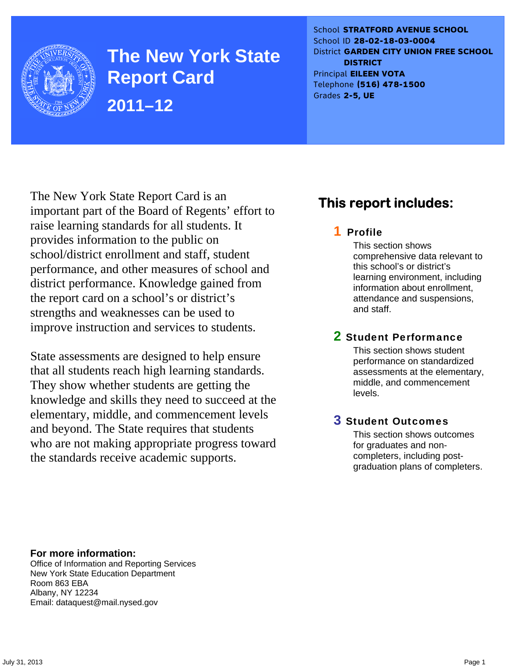

**The New York State Report Card 2011–12** 

School **STRATFORD AVENUE SCHOOL** School ID **28-02-18-03-0004** District **GARDEN CITY UNION FREE SCHOOL DISTRICT** Principal **EILEEN VOTA** Telephone **(516) 478-1500** Grades **2-5, UE**

The New York State Report Card is an important part of the Board of Regents' effort to raise learning standards for all students. It provides information to the public on school/district enrollment and staff, student performance, and other measures of school and district performance. Knowledge gained from the report card on a school's or district's strengths and weaknesses can be used to improve instruction and services to students.

State assessments are designed to help ensure that all students reach high learning standards. They show whether students are getting the knowledge and skills they need to succeed at the elementary, middle, and commencement levels and beyond. The State requires that students who are not making appropriate progress toward the standards receive academic supports.

# **This report includes:**

### 1 Profile

This section shows comprehensive data relevant to this school's or district's learning environment, including information about enrollment, attendance and suspensions, and staff.

### 2 Student Performance

This section shows student performance on standardized assessments at the elementary, middle, and commencement levels.

### 3 Student Outcomes

This section shows outcomes for graduates and noncompleters, including postgraduation plans of completers.

**For more information:**  Office of Information and Reporting Services New York State Education Department Room 863 EBA

Email: dataquest@mail.nysed.gov

Albany, NY 12234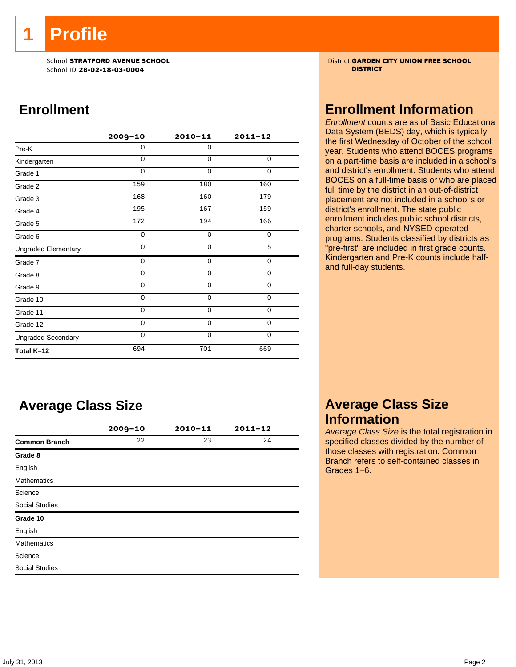**1 Profile** 

School ID **28-02-18-03-0004 DISTRICT**

# **Enrollment**

|                            | $2009 - 10$ | $2010 - 11$ | $2011 - 12$ |
|----------------------------|-------------|-------------|-------------|
| Pre-K                      | 0           | $\mathbf 0$ |             |
| Kindergarten               | $\Omega$    | $\Omega$    | $\Omega$    |
| Grade 1                    | $\Omega$    | $\Omega$    | 0           |
| Grade 2                    | 159         | 180         | 160         |
| Grade 3                    | 168         | 160         | 179         |
| Grade 4                    | 195         | 167         | 159         |
| Grade 5                    | 172         | 194         | 166         |
| Grade 6                    | 0           | $\mathbf 0$ | 0           |
| <b>Ungraded Elementary</b> | $\Omega$    | $\Omega$    | 5           |
| Grade 7                    | 0           | 0           | $\mathbf 0$ |
| Grade 8                    | 0           | 0           | $\mathbf 0$ |
| Grade 9                    | 0           | 0           | 0           |
| Grade 10                   | 0           | 0           | $\mathbf 0$ |
| Grade 11                   | $\Omega$    | 0           | 0           |
| Grade 12                   | 0           | $\mathbf 0$ | 0           |
| <b>Ungraded Secondary</b>  | $\Omega$    | $\Omega$    | $\mathbf 0$ |
| Total K-12                 | 694         | 701         | 669         |

# **Average Class Size**

|                       | $2009 - 10$ | $2010 - 11$ | $2011 - 12$ |
|-----------------------|-------------|-------------|-------------|
| <b>Common Branch</b>  | 22          | 23          | 24          |
| Grade 8               |             |             |             |
| English               |             |             |             |
| <b>Mathematics</b>    |             |             |             |
| Science               |             |             |             |
| <b>Social Studies</b> |             |             |             |
| Grade 10              |             |             |             |
| English               |             |             |             |
| <b>Mathematics</b>    |             |             |             |
| Science               |             |             |             |
| <b>Social Studies</b> |             |             |             |

School **STRATFORD AVENUE SCHOOL** District **GARDEN CITY UNION FREE SCHOOL**

### **Enrollment Information**

*Enrollment* counts are as of Basic Educational Data System (BEDS) day, which is typically the first Wednesday of October of the school year. Students who attend BOCES programs on a part-time basis are included in a school's and district's enrollment. Students who attend BOCES on a full-time basis or who are placed full time by the district in an out-of-district placement are not included in a school's or district's enrollment. The state public enrollment includes public school districts, charter schools, and NYSED-operated programs. Students classified by districts as "pre-first" are included in first grade counts. Kindergarten and Pre-K counts include halfand full-day students.

### **Average Class Size Information**

*Average Class Size* is the total registration in specified classes divided by the number of those classes with registration. Common Branch refers to self-contained classes in Grades 1–6.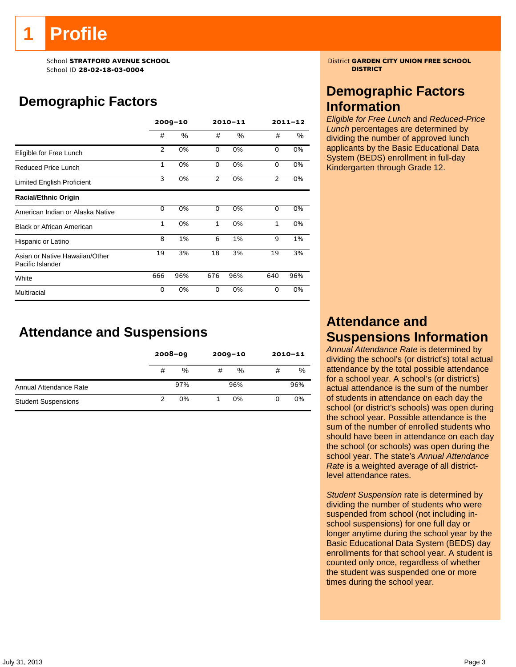# **Profile**

School ID **28-02-18-03-0004 DISTRICT**

# **Demographic Factors**

|                                                    |              | $2009 - 10$ |                | $2010 - 11$ |                | $2011 - 12$ |
|----------------------------------------------------|--------------|-------------|----------------|-------------|----------------|-------------|
|                                                    | #            | %           | #              | $\%$        | #              | ℅           |
| Eligible for Free Lunch                            | 2            | 0%          | $\Omega$       | 0%          | $\Omega$       | 0%          |
| Reduced Price Lunch                                | $\mathbf{1}$ | 0%          | $\Omega$       | 0%          | 0              | 0%          |
| Limited English Proficient                         | 3            | 0%          | $\overline{2}$ | 0%          | $\overline{2}$ | 0%          |
| <b>Racial/Ethnic Origin</b>                        |              |             |                |             |                |             |
| American Indian or Alaska Native                   | 0            | 0%          | 0              | 0%          | 0              | 0%          |
| <b>Black or African American</b>                   | $\mathbf{1}$ | 0%          | $\mathbf{1}$   | 0%          | $\mathbf{1}$   | 0%          |
| Hispanic or Latino                                 | 8            | 1%          | 6              | 1%          | 9              | 1%          |
| Asian or Native Hawaiian/Other<br>Pacific Islander | 19           | 3%          | 18             | 3%          | 19             | 3%          |
| White                                              | 666          | 96%         | 676            | 96%         | 640            | 96%         |
| Multiracial                                        | 0            | 0%          | 0              | 0%          | 0              | 0%          |

# **Attendance and Suspensions**

|                            |   | $2008 - 09$ |   | $2009 - 10$ | $2010 - 11$ |     |
|----------------------------|---|-------------|---|-------------|-------------|-----|
|                            | # | %           | # | %           | #           | %   |
| Annual Attendance Rate     |   | 97%         |   | 96%         |             | 96% |
| <b>Student Suspensions</b> |   | 0%          |   | 0%          |             | 0%  |

School **STRATFORD AVENUE SCHOOL** District **GARDEN CITY UNION FREE SCHOOL**

### **Demographic Factors Information**

*Eligible for Free Lunch* and *Reduced-Price Lunch* percentages are determined by dividing the number of approved lunch applicants by the Basic Educational Data System (BEDS) enrollment in full-day Kindergarten through Grade 12.

## **Attendance and Suspensions Information**

*Annual Attendance Rate* is determined by dividing the school's (or district's) total actual attendance by the total possible attendance for a school year. A school's (or district's) actual attendance is the sum of the number of students in attendance on each day the school (or district's schools) was open during the school year. Possible attendance is the sum of the number of enrolled students who should have been in attendance on each day the school (or schools) was open during the school year. The state's *Annual Attendance Rate* is a weighted average of all districtlevel attendance rates.

*Student Suspension* rate is determined by dividing the number of students who were suspended from school (not including inschool suspensions) for one full day or longer anytime during the school year by the Basic Educational Data System (BEDS) day enrollments for that school year. A student is counted only once, regardless of whether the student was suspended one or more times during the school year.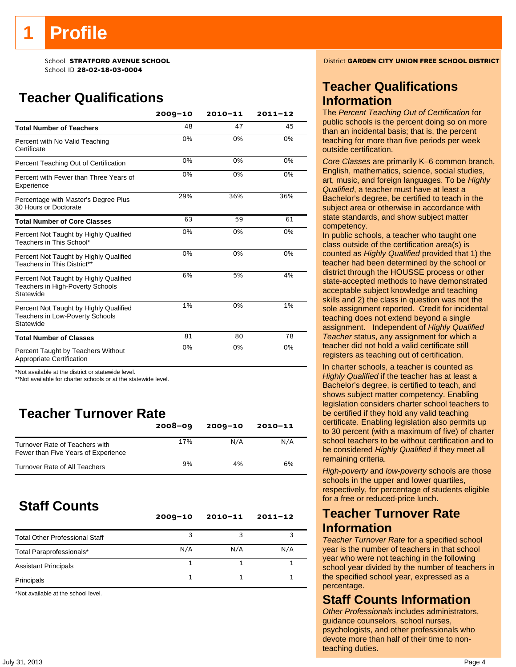# **Profile**

School ID **28-02-18-03-0004**

# **Teacher Qualifications**

|                                                                                               | $2009 - 10$ | $2010 - 11$ | $2011 - 12$ |
|-----------------------------------------------------------------------------------------------|-------------|-------------|-------------|
| <b>Total Number of Teachers</b>                                                               | 48          | 47          | 45          |
| Percent with No Valid Teaching<br>Certificate                                                 | 0%          | 0%          | 0%          |
| Percent Teaching Out of Certification                                                         | 0%          | 0%          | 0%          |
| Percent with Fewer than Three Years of<br>Experience                                          | 0%          | 0%          | 0%          |
| Percentage with Master's Degree Plus<br>30 Hours or Doctorate                                 | 29%         | 36%         | 36%         |
| <b>Total Number of Core Classes</b>                                                           | 63          | 59          | 61          |
| Percent Not Taught by Highly Qualified<br>Teachers in This School*                            | 0%          | 0%          | 0%          |
| Percent Not Taught by Highly Qualified<br>Teachers in This District**                         | 0%          | 0%          | 0%          |
| Percent Not Taught by Highly Qualified<br>Teachers in High-Poverty Schools<br>Statewide       | 6%          | 5%          | 4%          |
| Percent Not Taught by Highly Qualified<br><b>Teachers in Low-Poverty Schools</b><br>Statewide | 1%          | 0%          | 1%          |
| <b>Total Number of Classes</b>                                                                | 81          | 80          | 78          |
| Percent Taught by Teachers Without<br>Appropriate Certification                               | 0%          | 0%          | 0%          |

\*Not available at the district or statewide level.

\*\*Not available for charter schools or at the statewide level.

# **Teacher Turnover Rate**

|                                                                       | $2008 - 09$ | $2009 - 10$ | 2010-11 |
|-----------------------------------------------------------------------|-------------|-------------|---------|
| Turnover Rate of Teachers with<br>Fewer than Five Years of Experience | 17%         | N/A         | N/A     |
| Turnover Rate of All Teachers                                         | 9%          | 4%          | 6%      |

# **Staff Counts**

|                                       | $2009 - 10$ | $2010 - 11$ | $2011 - 12$ |
|---------------------------------------|-------------|-------------|-------------|
| <b>Total Other Professional Staff</b> |             |             |             |
| Total Paraprofessionals*              | N/A         | N/A         | N/A         |
| <b>Assistant Principals</b>           |             |             |             |
| Principals                            |             |             |             |

\*Not available at the school level.

School **STRATFORD AVENUE SCHOOL** District **GARDEN CITY UNION FREE SCHOOL DISTRICT**

### **Teacher Qualifications Information**

The *Percent Teaching Out of Certification* for public schools is the percent doing so on more than an incidental basis; that is, the percent teaching for more than five periods per week outside certification.

*Core Classes* are primarily K–6 common branch, English, mathematics, science, social studies, art, music, and foreign languages. To be *Highly Qualified*, a teacher must have at least a Bachelor's degree, be certified to teach in the subject area or otherwise in accordance with state standards, and show subject matter competency.

In public schools, a teacher who taught one class outside of the certification area(s) is counted as *Highly Qualified* provided that 1) the teacher had been determined by the school or district through the HOUSSE process or other state-accepted methods to have demonstrated acceptable subject knowledge and teaching skills and 2) the class in question was not the sole assignment reported. Credit for incidental teaching does not extend beyond a single assignment. Independent of *Highly Qualified Teacher* status, any assignment for which a teacher did not hold a valid certificate still registers as teaching out of certification.

In charter schools, a teacher is counted as *Highly Qualified* if the teacher has at least a Bachelor's degree, is certified to teach, and shows subject matter competency. Enabling legislation considers charter school teachers to be certified if they hold any valid teaching certificate. Enabling legislation also permits up to 30 percent (with a maximum of five) of charter school teachers to be without certification and to be considered *Highly Qualified* if they meet all remaining criteria.

*High-poverty* and *low-poverty* schools are those schools in the upper and lower quartiles, respectively, for percentage of students eligible for a free or reduced-price lunch.

### **Teacher Turnover Rate Information**

*Teacher Turnover Rate* for a specified school year is the number of teachers in that school year who were not teaching in the following school year divided by the number of teachers in the specified school year, expressed as a percentage.

### **Staff Counts Information**

*Other Professionals* includes administrators, guidance counselors, school nurses, psychologists, and other professionals who devote more than half of their time to nonteaching duties.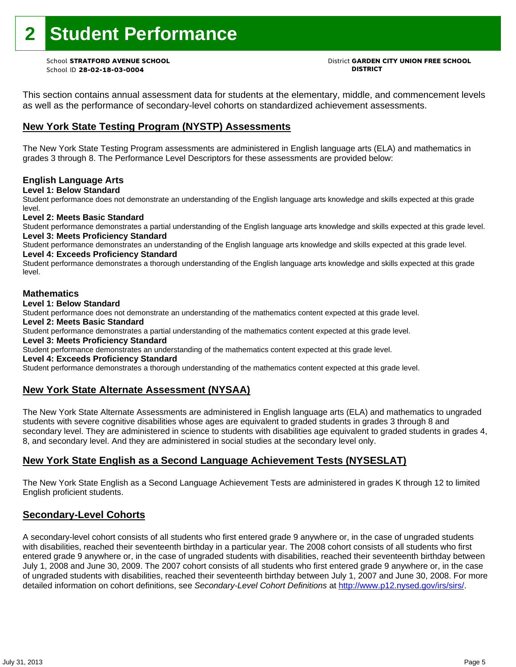# **2 Student Performance**

School ID **28-02-18-03-0004 DISTRICT**

# School **STRATFORD AVENUE SCHOOL** District **GARDEN CITY UNION FREE SCHOOL**

This section contains annual assessment data for students at the elementary, middle, and commencement levels as well as the performance of secondary-level cohorts on standardized achievement assessments.

### **New York State Testing Program (NYSTP) Assessments**

The New York State Testing Program assessments are administered in English language arts (ELA) and mathematics in grades 3 through 8. The Performance Level Descriptors for these assessments are provided below:

### **English Language Arts**

**Level 1: Below Standard** 

Student performance does not demonstrate an understanding of the English language arts knowledge and skills expected at this grade level.

### **Level 2: Meets Basic Standard**

Student performance demonstrates a partial understanding of the English language arts knowledge and skills expected at this grade level. **Level 3: Meets Proficiency Standard** 

Student performance demonstrates an understanding of the English language arts knowledge and skills expected at this grade level. **Level 4: Exceeds Proficiency Standard** 

Student performance demonstrates a thorough understanding of the English language arts knowledge and skills expected at this grade level.

### **Mathematics**

### **Level 1: Below Standard**

Student performance does not demonstrate an understanding of the mathematics content expected at this grade level.

### **Level 2: Meets Basic Standard**

Student performance demonstrates a partial understanding of the mathematics content expected at this grade level.

### **Level 3: Meets Proficiency Standard**

Student performance demonstrates an understanding of the mathematics content expected at this grade level.

#### **Level 4: Exceeds Proficiency Standard**

Student performance demonstrates a thorough understanding of the mathematics content expected at this grade level.

### **New York State Alternate Assessment (NYSAA)**

The New York State Alternate Assessments are administered in English language arts (ELA) and mathematics to ungraded students with severe cognitive disabilities whose ages are equivalent to graded students in grades 3 through 8 and secondary level. They are administered in science to students with disabilities age equivalent to graded students in grades 4, 8, and secondary level. And they are administered in social studies at the secondary level only.

### **New York State English as a Second Language Achievement Tests (NYSESLAT)**

The New York State English as a Second Language Achievement Tests are administered in grades K through 12 to limited English proficient students.

### **Secondary-Level Cohorts**

A secondary-level cohort consists of all students who first entered grade 9 anywhere or, in the case of ungraded students with disabilities, reached their seventeenth birthday in a particular year. The 2008 cohort consists of all students who first entered grade 9 anywhere or, in the case of ungraded students with disabilities, reached their seventeenth birthday between July 1, 2008 and June 30, 2009. The 2007 cohort consists of all students who first entered grade 9 anywhere or, in the case of ungraded students with disabilities, reached their seventeenth birthday between July 1, 2007 and June 30, 2008. For more detailed information on cohort definitions, see *Secondary-Level Cohort Definitions* at http://www.p12.nysed.gov/irs/sirs/.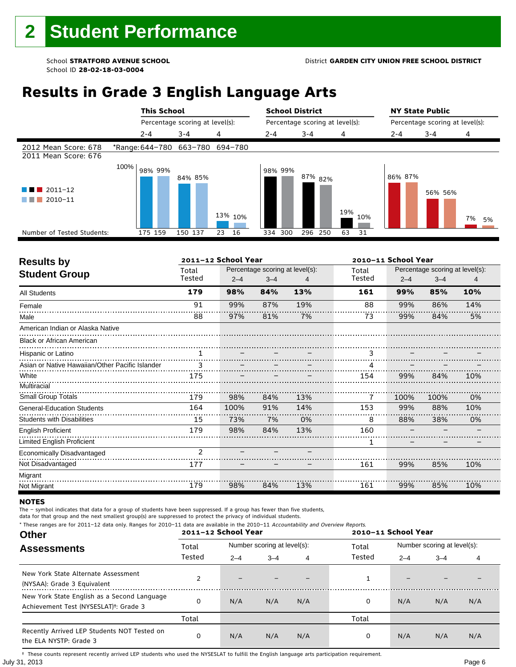# **Results in Grade 3 English Language Arts**

|                                              |      | <b>This School</b>              |                                 |          | <b>School District</b> |                    |                                 | <b>NY State Public</b> |                                 |          |
|----------------------------------------------|------|---------------------------------|---------------------------------|----------|------------------------|--------------------|---------------------------------|------------------------|---------------------------------|----------|
|                                              |      |                                 | Percentage scoring at level(s): |          |                        |                    | Percentage scoring at level(s): |                        | Percentage scoring at level(s): |          |
|                                              |      | $2 - 4$                         | $3 - 4$                         | 4        | $2 - 4$                | $3 - 4$            | 4                               | $2 - 4$                | $3 - 4$                         | 4        |
| 2012 Mean Score: 678<br>2011 Mean Score: 676 |      | *Range: 644-780 663-780 694-780 |                                 |          |                        |                    |                                 |                        |                                 |          |
| $\blacksquare$ 2011-12<br>2010-11<br>a sa ta | 100% | 98% 99%                         | 84% 85%                         | 13% 10%  | 98% 99%                | 87% <sub>82%</sub> | 19%<br>10%                      | 86% 87%                | 56% 56%                         | 7%<br>5% |
| Number of Tested Students:                   |      | 175 159                         | 150 137                         | 16<br>23 | 334 300                | 296<br>250         | 63<br>31                        |                        |                                 |          |
|                                              |      |                                 |                                 |          |                        |                    |                                 |                        |                                 |          |

| <b>Results by</b>                               |                 | 2011-12 School Year |                                            |     | 2010-11 School Year |         |                                            |     |  |
|-------------------------------------------------|-----------------|---------------------|--------------------------------------------|-----|---------------------|---------|--------------------------------------------|-----|--|
| <b>Student Group</b>                            | Total<br>Tested | $2 - 4$             | Percentage scoring at level(s):<br>$3 - 4$ | 4   | Total<br>Tested     | $2 - 4$ | Percentage scoring at level(s):<br>$3 - 4$ | 4   |  |
| <b>All Students</b>                             | 179             | 98%                 | 84%                                        | 13% | 161                 | 99%     | 85%                                        | 10% |  |
| Female                                          | 91              | 99%                 | 87%                                        | 19% | 88                  | 99%     | 86%                                        | 14% |  |
| Male                                            | 88              | 97%                 | 81%                                        | 7%  | 73                  | 99%     | 84%                                        | 5%  |  |
| American Indian or Alaska Native                |                 |                     |                                            |     |                     |         |                                            |     |  |
| <b>Black or African American</b>                |                 |                     |                                            |     |                     |         |                                            |     |  |
| Hispanic or Latino                              | 1               |                     |                                            |     | 3                   |         |                                            |     |  |
| Asian or Native Hawaiian/Other Pacific Islander | 3               |                     |                                            |     |                     |         |                                            |     |  |
| White                                           | 175             |                     |                                            |     | 154                 | 99%     | 84%                                        | 10% |  |
| Multiracial                                     |                 |                     |                                            |     |                     |         |                                            |     |  |
| <b>Small Group Totals</b>                       | 179             | 98%                 | 84%                                        | 13% | 7                   | 100%    | 100%                                       | 0%  |  |
| <b>General-Education Students</b>               | 164             | 100%                | 91%                                        | 14% | 153                 | 99%     | 88%                                        | 10% |  |
| <b>Students with Disabilities</b>               | 15              | 73%                 | 7%                                         | 0%  | 8                   | 88%     | 38%                                        | 0%  |  |
| <b>English Proficient</b>                       | 179             | 98%                 | 84%                                        | 13% | 160                 |         |                                            |     |  |
| <b>Limited English Proficient</b>               |                 |                     |                                            |     | 1                   |         |                                            |     |  |
| Economically Disadvantaged                      | $\overline{2}$  |                     |                                            |     |                     |         |                                            |     |  |
| Not Disadvantaged                               | 177             |                     |                                            |     | 161                 | 99%     | 85%                                        | 10% |  |
| Migrant                                         |                 |                     |                                            |     |                     |         |                                            |     |  |
| Not Migrant                                     | 179             | 98%                 | 84%                                        | 13% | 161                 | 99%     | 85%                                        | 10% |  |

#### **NOTES**

ľ

The – symbol indicates that data for a group of students have been suppressed. If a group has fewer than five students,

data for that group and the next smallest group(s) are suppressed to protect the privacy of individual students.

**Other Assessments**  2011-12 School Year Number scoring at level(s): Total Number scoring at level(s): 2–4 3–4 4 2–4 3–4 4 \* These ranges are for 2011–12 data only. Ranges for 2010–11 data are available in the 2010–11 Accountability and Overview Reports. **2011–12 School Year 2010–11 School Year** Total Tested Total Tested New York State Alternate Assessment (NYSAA): Grade 3 Equivalent 2 – – – – 1 New York State English as a Second Language Achievement Test (NYSESLAT)†: Grade 3 <sup>0</sup> N/A N/A N/A <sup>0</sup> N/A N/A N/A Total Total Recently Arrived LEP Students NOT Tested on the ELA NYSTP: Grade 3 0 N/A N/A N/A 0 N/A N/A N/A

July 31, 2013 Page 6 † These counts represent recently arrived LEP students who used the NYSESLAT to fulfill the English language arts participation requirement.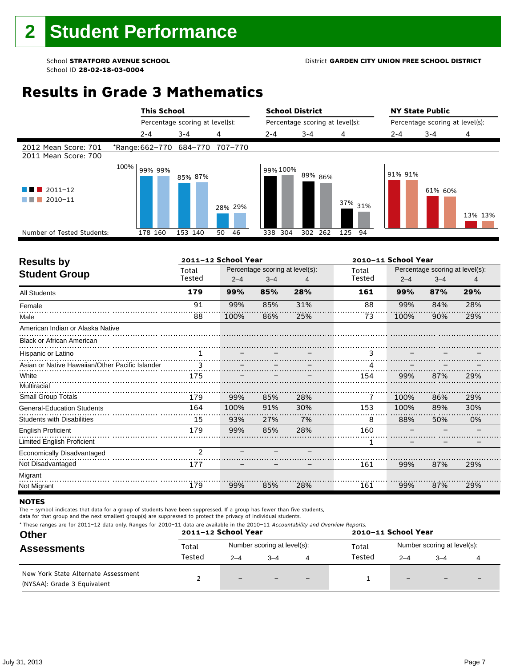# **Results in Grade 3 Mathematics**

|                                              | <b>This School</b>              | <b>School District</b>          |          |                                 |         |           | <b>NY State Public</b>          |         |         |
|----------------------------------------------|---------------------------------|---------------------------------|----------|---------------------------------|---------|-----------|---------------------------------|---------|---------|
|                                              |                                 | Percentage scoring at level(s): |          | Percentage scoring at level(s): |         |           | Percentage scoring at level(s): |         |         |
|                                              | $2 - 4$                         | $3 - 4$                         | 4        | $2 - 4$                         | $3 - 4$ | 4         | 2-4                             | $3 - 4$ | 4       |
| 2012 Mean Score: 701<br>2011 Mean Score: 700 | *Range: 662-770 684-770 707-770 |                                 |          |                                 |         |           |                                 |         |         |
| $2011 - 12$<br>4 N .<br>a sa n<br>2010-11    | 100%<br>99% 99%                 | 85% 87%                         | 28% 29%  | 99% 100%                        | 89% 86% | 37% 31%   | 91% 91%                         | 61% 60% | 13% 13% |
| Number of Tested Students:                   | 178 160                         | 153 140                         | 46<br>50 | 304<br>338                      | 302 262 | 125<br>94 |                                 |         |         |
|                                              |                                 |                                 |          |                                 |         |           |                                 |         |         |

| <b>Results by</b>                               |               | 2011-12 School Year |                                 |     |        | 2010-11 School Year |                                 |     |
|-------------------------------------------------|---------------|---------------------|---------------------------------|-----|--------|---------------------|---------------------------------|-----|
| <b>Student Group</b>                            | Total         |                     | Percentage scoring at level(s): |     | Total  |                     | Percentage scoring at level(s): |     |
|                                                 | Tested        | $2 - 4$             | $3 - 4$                         | 4   | Tested | $2 - 4$             | $3 - 4$                         | 4   |
| <b>All Students</b>                             | 179           | 99%                 | 85%                             | 28% | 161    | 99%                 | 87%                             | 29% |
| Female                                          | 91            | 99%                 | 85%                             | 31% | 88     | 99%                 | 84%                             | 28% |
| Male                                            | 88            | 100%                | 86%                             | 25% | 73     | 100%                | 90%                             | 29% |
| American Indian or Alaska Native                |               |                     |                                 |     |        |                     |                                 |     |
| <b>Black or African American</b>                |               |                     |                                 |     |        |                     |                                 |     |
| Hispanic or Latino                              |               |                     |                                 |     | 3      |                     |                                 |     |
| Asian or Native Hawaiian/Other Pacific Islander | 3             |                     |                                 |     |        |                     |                                 |     |
| White                                           | 175           |                     |                                 |     | 154    | 99%                 | 87%                             | 29% |
| Multiracial                                     |               |                     |                                 |     |        |                     |                                 |     |
| Small Group Totals                              | 179           | 99%                 | 85%                             | 28% | 7      | 100%                | 86%                             | 29% |
| <b>General-Education Students</b>               | 164           | 100%                | 91%                             | 30% | 153    | 100%                | 89%                             | 30% |
| <b>Students with Disabilities</b>               | 15            | 93%                 | 27%                             | 7%  | 8      | 88%                 | 50%                             | 0%  |
| <b>English Proficient</b>                       | 179           | 99%                 | 85%                             | 28% | 160    |                     |                                 |     |
| Limited English Proficient                      |               |                     |                                 |     | 1      |                     |                                 |     |
| Economically Disadvantaged                      | $\mathcal{P}$ |                     |                                 |     |        |                     |                                 |     |
| Not Disadvantaged                               | 177           |                     |                                 |     | 161    | 99%                 | 87%                             | 29% |
| Migrant                                         |               |                     |                                 |     |        |                     |                                 |     |
| Not Migrant                                     | 179           | 99%                 | 85%                             | 28% | 161    | 99%                 | 87%                             | 29% |

#### **NOTES**

The – symbol indicates that data for a group of students have been suppressed. If a group has fewer than five students,

| <b>Other</b><br><b>Assessments</b>                                 | * These ranges are for 2011-12 data only. Ranges for 2010-11 data are available in the 2010-11 Accountability and Overview Reports.<br>2011-12 School Year<br>2010-11 School Year |                             |         |                          |                 |                             |         |  |
|--------------------------------------------------------------------|-----------------------------------------------------------------------------------------------------------------------------------------------------------------------------------|-----------------------------|---------|--------------------------|-----------------|-----------------------------|---------|--|
|                                                                    | Total<br>Tested                                                                                                                                                                   | Number scoring at level(s): |         |                          | Total<br>Tested | Number scoring at level(s): |         |  |
| New York State Alternate Assessment<br>(NYSAA): Grade 3 Equivalent |                                                                                                                                                                                   | $2 - 4$                     | $3 - 4$ | $\overline{\phantom{0}}$ |                 | $2 - 4$                     | $3 - 4$ |  |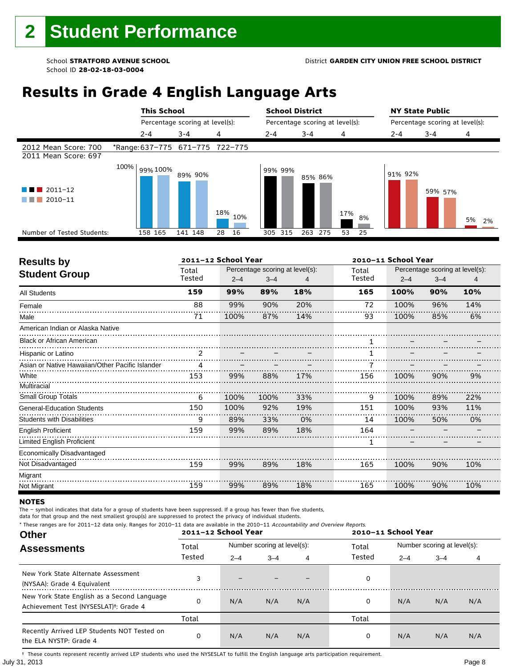# **Results in Grade 4 English Language Arts**

|                                              |      | <b>This School</b><br>Percentage scoring at level(s): |                                 |            | <b>School District</b>          |            |           | <b>NY State Public</b>          |         |          |
|----------------------------------------------|------|-------------------------------------------------------|---------------------------------|------------|---------------------------------|------------|-----------|---------------------------------|---------|----------|
|                                              |      |                                                       |                                 |            | Percentage scoring at level(s): |            |           | Percentage scoring at level(s): |         |          |
|                                              |      | $2 - 4$                                               | $3 - 4$                         | 4          | $2 - 4$                         | $3 - 4$    | 4         | $2 - 4$                         | $3 - 4$ | 4        |
| 2012 Mean Score: 700<br>2011 Mean Score: 697 |      |                                                       | *Range: 637-775 671-775 722-775 |            |                                 |            |           |                                 |         |          |
| $\blacksquare$ 2011-12<br>2010-11<br>a sa ta | 100% | 99% 100%                                              | 89% 90%                         | 18%<br>10% | 99% 99%                         | 85% 86%    | 17%<br>8% | 91% 92%                         | 59% 57% | 5%<br>2% |
| Number of Tested Students:                   |      | 158 165                                               | 141 148                         | 28<br>16   | 305 315                         | 263<br>275 | 25<br>53  |                                 |         |          |
|                                              |      |                                                       |                                 |            |                                 |            |           |                                 |         |          |

| <b>Results by</b>                               | 2011-12 School Year |         |                                 |     |        | 2010-11 School Year |                                 |     |  |  |
|-------------------------------------------------|---------------------|---------|---------------------------------|-----|--------|---------------------|---------------------------------|-----|--|--|
| <b>Student Group</b>                            | Total               |         | Percentage scoring at level(s): |     | Total  |                     | Percentage scoring at level(s): |     |  |  |
|                                                 | Tested              | $2 - 4$ | $3 - 4$                         | 4   | Tested | $2 - 4$             | $3 - 4$                         | 4   |  |  |
| <b>All Students</b>                             | 159                 | 99%     | 89%                             | 18% | 165    | 100%                | 90%                             | 10% |  |  |
| Female                                          | 88                  | 99%     | 90%                             | 20% | 72     | 100%                | 96%                             | 14% |  |  |
| Male                                            | 71                  | 100%    | 87%                             | 14% | 93     | 100%                | 85%                             | 6%  |  |  |
| American Indian or Alaska Native                |                     |         |                                 |     |        |                     |                                 |     |  |  |
| <b>Black or African American</b>                |                     |         |                                 |     |        |                     |                                 |     |  |  |
| Hispanic or Latino                              | 2                   |         |                                 |     |        |                     |                                 |     |  |  |
| Asian or Native Hawaiian/Other Pacific Islander | 4                   |         |                                 |     |        |                     |                                 |     |  |  |
| White                                           | 153                 | 99%     | 88%                             | 17% | 156    | 100%                | 90%                             | 9%  |  |  |
| Multiracial                                     |                     |         |                                 |     |        |                     |                                 |     |  |  |
| Small Group Totals                              | 6                   | 100%    | 100%                            | 33% | 9      | 100%                | 89%                             | 22% |  |  |
| <b>General-Education Students</b>               | 150                 | 100%    | 92%                             | 19% | 151    | 100%                | 93%                             | 11% |  |  |
| <b>Students with Disabilities</b>               | 9                   | 89%     | 33%                             | 0%  | 14     | 100%                | 50%                             | 0%  |  |  |
| <b>English Proficient</b>                       | 159                 | 99%     | 89%                             | 18% | 164    |                     |                                 |     |  |  |
| <b>Limited English Proficient</b>               |                     |         |                                 |     | 1      |                     |                                 |     |  |  |
| Economically Disadvantaged                      |                     |         |                                 |     |        |                     |                                 |     |  |  |
| Not Disadvantaged                               | 159                 | 99%     | 89%                             | 18% | 165    | 100%                | 90%                             | 10% |  |  |
| Migrant                                         |                     |         |                                 |     |        |                     |                                 |     |  |  |
| Not Migrant                                     | 159                 | 99%     | 89%                             | 18% | 165    | 100%                | 90%                             | 10% |  |  |

#### **NOTES**

The – symbol indicates that data for a group of students have been suppressed. If a group has fewer than five students,

data for that group and the next smallest group(s) are suppressed to protect the privacy of individual students.

**Other Assessments**  2011-12 School Year Number scoring at level(s): Total Number scoring at level(s): 2–4 3–4 4 2–4 3–4 4 \* These ranges are for 2011–12 data only. Ranges for 2010–11 data are available in the 2010–11 Accountability and Overview Reports. **2011–12 School Year 2010–11 School Year** Total Tested Total Tested New York State Alternate Assessment (NYSAA): Grade 4 Equivalent 3 – – – – – – 0<br>(NYSAA): Grade 4 Equivalent New York State English as a Second Language Achievement Test (NYSESLAT)†: Grade 4 <sup>0</sup> N/A N/A N/A <sup>0</sup> N/A N/A N/A Total Total Recently Arrived LEP Students NOT Tested on the ELA NYSTP: Grade 4 0 N/A N/A N/A 0 N/A N/A N/A

July 31, 2013 Page 8 † These counts represent recently arrived LEP students who used the NYSESLAT to fulfill the English language arts participation requirement.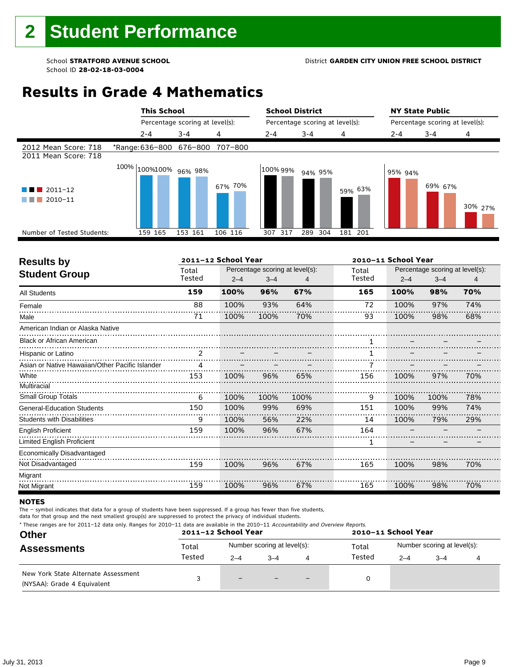### School **STRATFORD AVENUE SCHOOL** District **GARDEN CITY UNION FREE SCHOOL DISTRICT**

# **Results in Grade 4 Mathematics**

|                                                  |                                 | <b>This School</b><br>Percentage scoring at level(s): |         |          | <b>School District</b>          |         | <b>NY State Public</b>          |         |         |  |
|--------------------------------------------------|---------------------------------|-------------------------------------------------------|---------|----------|---------------------------------|---------|---------------------------------|---------|---------|--|
|                                                  |                                 |                                                       |         |          | Percentage scoring at level(s): |         | Percentage scoring at level(s): |         |         |  |
|                                                  | $2 - 4$                         | $3 - 4$                                               | 4       | $2 - 4$  | $3 - 4$                         | 4       | $2 - 4$                         | $3 - 4$ | 4       |  |
| 2012 Mean Score: 718<br>2011 Mean Score: 718     | *Range: 636-800 676-800 707-800 |                                                       |         |          |                                 |         |                                 |         |         |  |
| $2011 - 12$<br>a sa B<br>2010-11<br>and the con- | $100\%$ 100%100% 96% 98%        |                                                       | 67% 70% | 100% 99% | 94% 95%                         | 59% 63% | 95% 94%                         | 69% 67% | 30% 27% |  |
| Number of Tested Students:                       | 159 165                         | 153 161                                               | 106 116 | 307 317  | 304<br>289                      | 181 201 |                                 |         |         |  |
|                                                  |                                 |                                                       |         |          |                                 |         |                                 |         |         |  |

| <b>Results by</b>                               |               | 2011-12 School Year |                                 |      | 2010-11 School Year |         |                                 |     |  |
|-------------------------------------------------|---------------|---------------------|---------------------------------|------|---------------------|---------|---------------------------------|-----|--|
| <b>Student Group</b>                            | Total         |                     | Percentage scoring at level(s): |      | Total               |         | Percentage scoring at level(s): |     |  |
|                                                 | Tested        | $2 - 4$             | $3 - 4$                         |      | Tested              | $2 - 4$ | $3 - 4$                         | 4   |  |
| <b>All Students</b>                             | 159           | 100%                | 96%                             | 67%  | 165                 | 100%    | 98%                             | 70% |  |
| Female                                          | 88            | 100%                | 93%                             | 64%  | 72                  | 100%    | 97%                             | 74% |  |
| Male                                            | 71            | 100%                | 100%                            | 70%  | 93                  | 100%    | 98%                             | 68% |  |
| American Indian or Alaska Native                |               |                     |                                 |      |                     |         |                                 |     |  |
| <b>Black or African American</b>                |               |                     |                                 |      |                     |         |                                 |     |  |
| Hispanic or Latino                              | $\mathcal{P}$ |                     |                                 |      |                     |         |                                 |     |  |
| Asian or Native Hawaiian/Other Pacific Islander | 4             |                     |                                 |      |                     |         |                                 |     |  |
| White                                           | 153           | 100%                | 96%                             | 65%  | 156                 | 100%    | 97%                             | 70% |  |
| Multiracial                                     |               |                     |                                 |      |                     |         |                                 |     |  |
| <b>Small Group Totals</b>                       | 6             | 100%                | 100%                            | 100% | 9                   | 100%    | 100%                            | 78% |  |
| <b>General-Education Students</b>               | 150           | 100%                | 99%                             | 69%  | 151                 | 100%    | 99%                             | 74% |  |
| <b>Students with Disabilities</b>               | 9             | 100%                | 56%                             | 22%  | 14                  | 100%    | 79%                             | 29% |  |
| <b>English Proficient</b>                       | 159           | 100%                | 96%                             | 67%  | 164                 |         |                                 |     |  |
| Limited English Proficient                      |               |                     |                                 |      | 1                   |         |                                 |     |  |
| Economically Disadvantaged                      |               |                     |                                 |      |                     |         |                                 |     |  |
| Not Disadvantaged                               | 159           | 100%                | 96%                             | 67%  | 165                 | 100%    | 98%                             | 70% |  |
| Migrant                                         |               |                     |                                 |      |                     |         |                                 |     |  |
| Not Migrant                                     | 159           | 100%                | 96%                             | 67%  | 165                 | 100%    | 98%                             | 70% |  |

#### **NOTES**

The – symbol indicates that data for a group of students have been suppressed. If a group has fewer than five students,

| * These ranges are for 2011–12 data only. Ranges for 2010–11 data are available in the 2010–11 Accountability and Overview Reports.<br><b>Other</b><br><b>Assessments</b> |        | 2011-12 School Year |                             |                          | 2010-11 School Year |                             |         |  |  |  |
|---------------------------------------------------------------------------------------------------------------------------------------------------------------------------|--------|---------------------|-----------------------------|--------------------------|---------------------|-----------------------------|---------|--|--|--|
|                                                                                                                                                                           | Total  |                     | Number scoring at level(s): |                          | Total               | Number scoring at level(s): |         |  |  |  |
|                                                                                                                                                                           | Tested | $2 - 4$             | $-4$                        | 4                        | Tested              | $2 - 4$                     | $3 - 4$ |  |  |  |
| New York State Alternate Assessment<br>(NYSAA): Grade 4 Equivalent                                                                                                        |        | $-$                 |                             | $\overline{\phantom{0}}$ |                     |                             |         |  |  |  |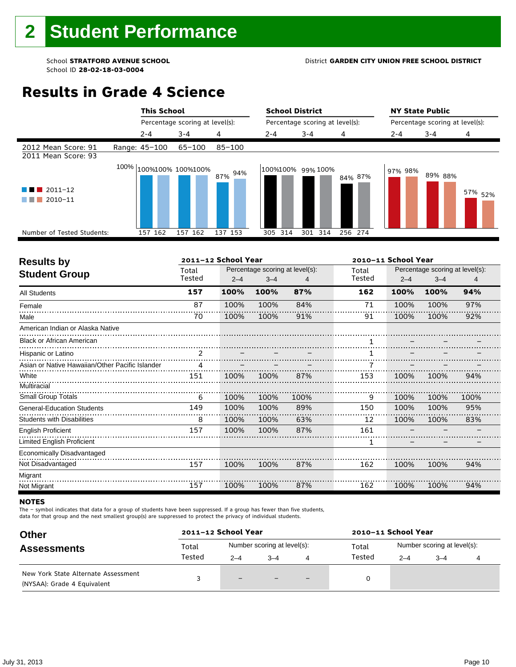### School **STRATFORD AVENUE SCHOOL** District **GARDEN CITY UNION FREE SCHOOL DISTRICT**

# **Results in Grade 4 Science**

|                                                    |  | <b>This School</b><br>Percentage scoring at level(s): |                           | <b>School District</b>          |            |                   | <b>NY State Public</b>          |         |         |                    |
|----------------------------------------------------|--|-------------------------------------------------------|---------------------------|---------------------------------|------------|-------------------|---------------------------------|---------|---------|--------------------|
|                                                    |  |                                                       |                           | Percentage scoring at level(s): |            |                   | Percentage scoring at level(s): |         |         |                    |
|                                                    |  | $2 - 4$                                               | $3 - 4$                   | 4                               | $2 - 4$    | $3 - 4$           | 4                               | $2 - 4$ | $3 - 4$ | 4                  |
| 2012 Mean Score: 91<br>2011 Mean Score: 93         |  | Range: 45-100                                         | 65-100                    | $85 - 100$                      |            |                   |                                 |         |         |                    |
| $\blacksquare$ 2011-12<br>2010-11<br>and the state |  |                                                       | $100\%$ 100%100% 100%100% | 94%<br>87%                      |            | 100%100% 99% 100% | 84% 87%                         | 97% 98% | 89% 88% | 57% <sub>52%</sub> |
| Number of Tested Students:                         |  | 157 162                                               | 157 162                   | 137 153                         | 314<br>305 | 301 314           | 256 274                         |         |         |                    |
|                                                    |  |                                                       |                           |                                 |            |                   |                                 |         |         |                    |

|               |         |         |                     | 2010-11 School Year             |         |         |                                 |  |
|---------------|---------|---------|---------------------|---------------------------------|---------|---------|---------------------------------|--|
| Total         |         |         |                     | Total                           |         |         |                                 |  |
|               | $2 - 4$ | $3 - 4$ |                     |                                 | $2 - 4$ | $3 - 4$ | 4                               |  |
| 157           | 100%    | 100%    | 87%                 | 162                             | 100%    | 100%    | 94%                             |  |
| 87            | 100%    | 100%    | 84%                 | 71                              | 100%    | 100%    | 97%                             |  |
| 70            | 100%    | 100%    | 91%                 | 91                              | 100%    | 100%    | 92%                             |  |
|               |         |         |                     |                                 |         |         |                                 |  |
|               |         |         |                     | 1                               |         |         |                                 |  |
| $\mathcal{P}$ |         |         |                     |                                 |         |         |                                 |  |
| 4             |         |         |                     |                                 |         |         |                                 |  |
| 151           | 100%    | 100%    | 87%                 | 153                             | 100%    | 100%    | 94%                             |  |
|               |         |         |                     |                                 |         |         |                                 |  |
| 6             | 100%    | 100%    | 100%                | 9                               | 100%    | 100%    | 100%                            |  |
| 149           | 100%    | 100%    | 89%                 | 150                             | 100%    | 100%    | 95%                             |  |
| 8             | 100%    | 100%    | 63%                 | 12                              | 100%    | 100%    | 83%                             |  |
| 157           | 100%    | 100%    | 87%                 | 161                             |         |         |                                 |  |
|               |         |         |                     | 1                               |         |         |                                 |  |
|               |         |         |                     |                                 |         |         |                                 |  |
| 157           | 100%    | 100%    | 87%                 | 162                             | 100%    | 100%    | 94%                             |  |
|               |         |         |                     |                                 |         |         |                                 |  |
| 157           | 100%    | 100%    | 87%                 | 162                             | 100%    | 100%    | 94%                             |  |
|               | Tested  |         | 2011-12 School Year | Percentage scoring at level(s): | Tested  |         | Percentage scoring at level(s): |  |

#### **NOTES**

The – symbol indicates that data for a group of students have been suppressed. If a group has fewer than five students,

| <b>Other</b><br><b>Assessments</b>                                 | 2011-12 School Year |                             |         |                          | 2010-11 School Year |                             |         |  |  |  |
|--------------------------------------------------------------------|---------------------|-----------------------------|---------|--------------------------|---------------------|-----------------------------|---------|--|--|--|
|                                                                    | Total               | Number scoring at level(s): |         |                          | Total               | Number scoring at level(s): |         |  |  |  |
|                                                                    | Tested              | $2 - 4$                     | $3 - 4$ | 4                        | Tested              | $2 - 4$                     | $3 - 4$ |  |  |  |
| New York State Alternate Assessment<br>(NYSAA): Grade 4 Equivalent |                     | $\qquad \qquad -$           | $-$     | $\overline{\phantom{a}}$ |                     |                             |         |  |  |  |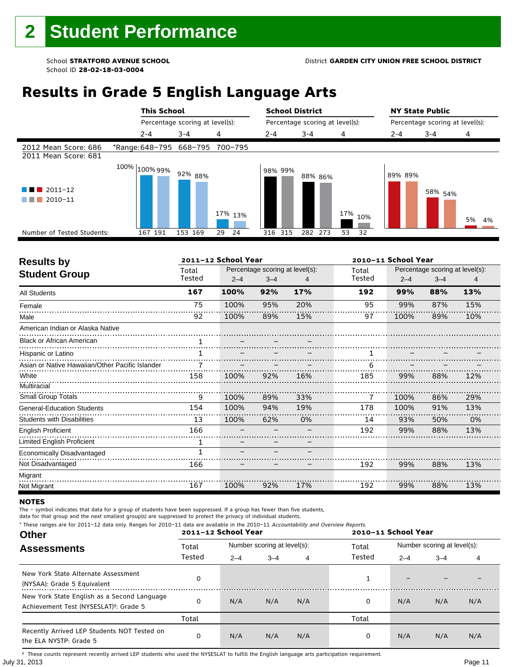# **Results in Grade 5 English Language Arts**

|                                                                    |                                 | <b>This School</b>              |          |         | <b>School District</b>          |            | <b>NY State Public</b>          |                    |          |  |
|--------------------------------------------------------------------|---------------------------------|---------------------------------|----------|---------|---------------------------------|------------|---------------------------------|--------------------|----------|--|
|                                                                    |                                 | Percentage scoring at level(s): |          |         | Percentage scoring at level(s): |            | Percentage scoring at level(s): |                    |          |  |
|                                                                    | $2 - 4$                         | $3 - 4$                         | 4        | $2 - 4$ | $3 - 4$                         | 4          | $2 - 4$                         | $3 - 4$            | 4        |  |
| 2012 Mean Score: 686<br>2011 Mean Score: 681                       | *Range: 648-795 668-795 700-795 |                                 |          |         |                                 |            |                                 |                    |          |  |
| $\blacksquare$ 2011-12<br>a kacamatan<br>$\Box$ 2010-11<br>a sa ta | 100% <sub>100%</sub> 99%        | 92% 88%                         | 17% 13%  | 98% 99% | 88% 86%                         | 17%<br>10% | 89% 89%                         | 58% <sub>54%</sub> | 5%<br>4% |  |
| Number of Tested Students:                                         | 167 191                         | 153 169                         | 24<br>29 | 316 315 | 282 273                         | 32<br>53   |                                 |                    |          |  |
|                                                                    |                                 |                                 |          |         |                                 |            |                                 |                    |          |  |

| <b>Results by</b>                               |        | 2011-12 School Year |         |                                 | 2010-11 School Year |         |                                 |     |  |
|-------------------------------------------------|--------|---------------------|---------|---------------------------------|---------------------|---------|---------------------------------|-----|--|
| <b>Student Group</b>                            | Total  |                     |         | Percentage scoring at level(s): | Total               |         | Percentage scoring at level(s): |     |  |
|                                                 | Tested | $2 - 4$             | $3 - 4$ |                                 | Tested              | $2 - 4$ | $3 - 4$                         | 4   |  |
| <b>All Students</b>                             | 167    | 100%                | 92%     | 17%                             | 192                 | 99%     | 88%                             | 13% |  |
| Female                                          | 75     | 100%                | 95%     | 20%                             | 95                  | 99%     | 87%                             | 15% |  |
| Male                                            | 92     | 100%                | 89%     | 15%                             | 97                  | 100%    | 89%                             | 10% |  |
| American Indian or Alaska Native                |        |                     |         |                                 |                     |         |                                 |     |  |
| <b>Black or African American</b>                |        |                     |         |                                 |                     |         |                                 |     |  |
| Hispanic or Latino                              |        |                     |         |                                 |                     |         |                                 |     |  |
| Asian or Native Hawaiian/Other Pacific Islander |        |                     |         |                                 | 6                   |         |                                 |     |  |
| White                                           | 158    | 100%                | 92%     | 16%                             | 185                 | 99%     | 88%                             | 12% |  |
| Multiracial                                     |        |                     |         |                                 |                     |         |                                 |     |  |
| Small Group Totals                              | 9      | 100%                | 89%     | 33%                             | 7                   | 100%    | 86%                             | 29% |  |
| <b>General-Education Students</b>               | 154    | 100%                | 94%     | 19%                             | 178                 | 100%    | 91%                             | 13% |  |
| <b>Students with Disabilities</b>               | 13     | 100%                | 62%     | 0%                              | 14                  | 93%     | 50%                             | 0%  |  |
| <b>English Proficient</b>                       | 166    |                     |         |                                 | 192                 | 99%     | 88%                             | 13% |  |
| Limited English Proficient                      | 1      |                     |         |                                 |                     |         |                                 |     |  |
| Economically Disadvantaged                      | 1      |                     |         |                                 |                     |         |                                 |     |  |
| Not Disadvantaged                               | 166    |                     |         |                                 | 192                 | 99%     | 88%                             | 13% |  |
| Migrant                                         |        |                     |         |                                 |                     |         |                                 |     |  |
| Not Migrant                                     | 167    | 100%                | 92%     | 17%                             | 192                 | 99%     | 88%                             | 13% |  |

#### **NOTES**

The – symbol indicates that data for a group of students have been suppressed. If a group has fewer than five students,

**Other Assessments**  2011-12 School Year Number scoring at level(s): Total Number scoring at level(s): 2–4 3–4 4 2–4 3–4 4 data for that group and the next smallest group(s) are suppressed to protect the privacy of individual students. \* These ranges are for 2011–12 data only. Ranges for 2010–11 data are available in the 2010–11 Accountability and Overview Reports. **2011–12 School Year 2010–11 School Year** Total Tested Total Tested New York State Alternate Assessment (NYSAA): Grade 5 Equivalent <sup>0</sup> <sup>1</sup> – – – New York State English as a Second Language Achievement Test (NYSESLAT)†: Grade 5 <sup>0</sup> N/A N/A N/A <sup>0</sup> N/A N/A N/A Total Total Recently Arrived LEP Students NOT Tested on the ELA NYSTP: Grade 5 0 N/A N/A N/A 0 N/A N/A N/A † These counts represent recently arrived LEP students who used the NYSESLAT to fulfill the English language arts participation requirement.

July 31, 2013 Page 11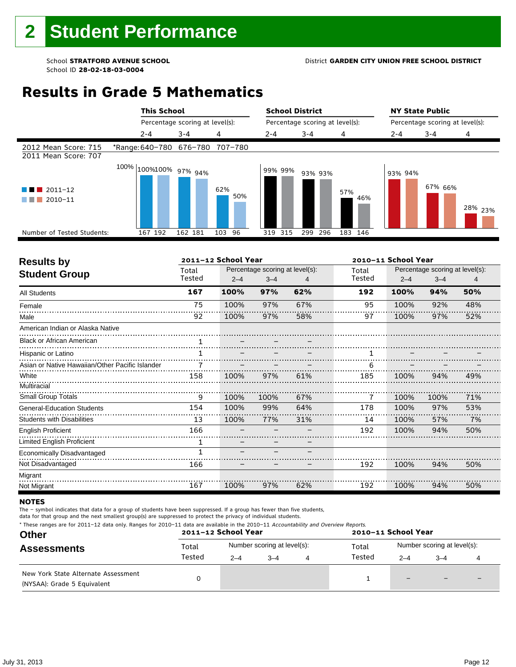# **Results in Grade 5 Mathematics**

|                                                                    |                                 | <b>This School</b><br>Percentage scoring at level(s): |            |         | <b>School District</b>          |            | <b>NY State Public</b> |                                 |                    |  |
|--------------------------------------------------------------------|---------------------------------|-------------------------------------------------------|------------|---------|---------------------------------|------------|------------------------|---------------------------------|--------------------|--|
|                                                                    |                                 |                                                       |            |         | Percentage scoring at level(s): |            |                        | Percentage scoring at level(s): |                    |  |
|                                                                    | $2 - 4$                         | $3 - 4$                                               | 4          | $2 - 4$ | $3 - 4$                         | 4          | 2-4                    | $3 - 4$                         | 4                  |  |
| 2012 Mean Score: 715<br>2011 Mean Score: 707                       | *Range: 640-780 676-780 707-780 |                                                       |            |         |                                 |            |                        |                                 |                    |  |
| $2011 - 12$<br><b>All Development</b><br>a sa B<br>2010-11<br>a sa | $100\%$ $\mid$ 100%100% 97% 94% |                                                       | 62%<br>50% | 99% 99% | 93% 93%                         | 57%<br>46% | 93% 94%                | 67% 66%                         | <sup>28%</sup> 23% |  |
| Number of Tested Students:                                         | 167 192                         | 162 181                                               | 103<br>96  | 319 315 | 299<br>296                      | 183 146    |                        |                                 |                    |  |
|                                                                    |                                 |                                                       |            |         |                                 |            |                        |                                 |                    |  |

| <b>Results by</b>                               |        | 2011-12 School Year |                                 |     | 2010-11 School Year |         |                                 |     |  |
|-------------------------------------------------|--------|---------------------|---------------------------------|-----|---------------------|---------|---------------------------------|-----|--|
| <b>Student Group</b>                            | Total  |                     | Percentage scoring at level(s): |     | Total               |         | Percentage scoring at level(s): |     |  |
|                                                 | Tested | $2 - 4$             | $3 - 4$                         |     | Tested              | $2 - 4$ | $3 - 4$                         | 4   |  |
| <b>All Students</b>                             | 167    | 100%                | 97%                             | 62% | 192                 | 100%    | 94%                             | 50% |  |
| Female                                          | 75     | 100%                | 97%                             | 67% | 95                  | 100%    | 92%                             | 48% |  |
| Male                                            | 92     | 100%                | 97%                             | 58% | 97                  | 100%    | 97%                             | 52% |  |
| American Indian or Alaska Native                |        |                     |                                 |     |                     |         |                                 |     |  |
| <b>Black or African American</b>                |        |                     |                                 |     |                     |         |                                 |     |  |
| Hispanic or Latino                              |        |                     |                                 |     |                     |         |                                 |     |  |
| Asian or Native Hawaiian/Other Pacific Islander |        |                     |                                 |     | 6                   |         |                                 |     |  |
| White                                           | 158    | 100%                | 97%                             | 61% | 185                 | 100%    | 94%                             | 49% |  |
| Multiracial                                     |        |                     |                                 |     |                     |         |                                 |     |  |
| Small Group Totals                              | 9      | 100%                | 100%                            | 67% | 7                   | 100%    | 100%                            | 71% |  |
| <b>General-Education Students</b>               | 154    | 100%                | 99%                             | 64% | 178                 | 100%    | 97%                             | 53% |  |
| <b>Students with Disabilities</b>               | 13     | 100%                | 77%                             | 31% | 14                  | 100%    | 57%                             | 7%  |  |
| <b>English Proficient</b>                       | 166    |                     |                                 |     | 192                 | 100%    | 94%                             | 50% |  |
| Limited English Proficient                      | 1      |                     |                                 |     |                     |         |                                 |     |  |
| Economically Disadvantaged                      | 1      |                     |                                 |     |                     |         |                                 |     |  |
| Not Disadvantaged                               | 166    |                     |                                 |     | 192                 | 100%    | 94%                             | 50% |  |
| Migrant                                         |        |                     |                                 |     |                     |         |                                 |     |  |
| Not Migrant                                     | 167    | 100%                | 97%                             | 62% | 192                 | 100%    | 94%                             | 50% |  |

#### **NOTES**

The – symbol indicates that data for a group of students have been suppressed. If a group has fewer than five students,

| * These ranges are for 2011-12 data only. Ranges for 2010-11 data are available in the 2010-11 Accountability and Overview Reports. |  |
|-------------------------------------------------------------------------------------------------------------------------------------|--|
|-------------------------------------------------------------------------------------------------------------------------------------|--|

| <b>Other</b>                                                       |        | 2011-12 School Year |                             | 2010-11 School Year |                             |                          |   |  |  |
|--------------------------------------------------------------------|--------|---------------------|-----------------------------|---------------------|-----------------------------|--------------------------|---|--|--|
| <b>Assessments</b>                                                 | Total  |                     | Number scoring at level(s): | Total               | Number scoring at level(s): |                          |   |  |  |
|                                                                    | Tested | $2 - 4$             | $-4$                        | Tested              | $2 - 4$                     | $3 - 4$                  |   |  |  |
| New York State Alternate Assessment<br>(NYSAA): Grade 5 Equivalent |        |                     |                             |                     | $\qquad \qquad -$           | $\overline{\phantom{0}}$ | - |  |  |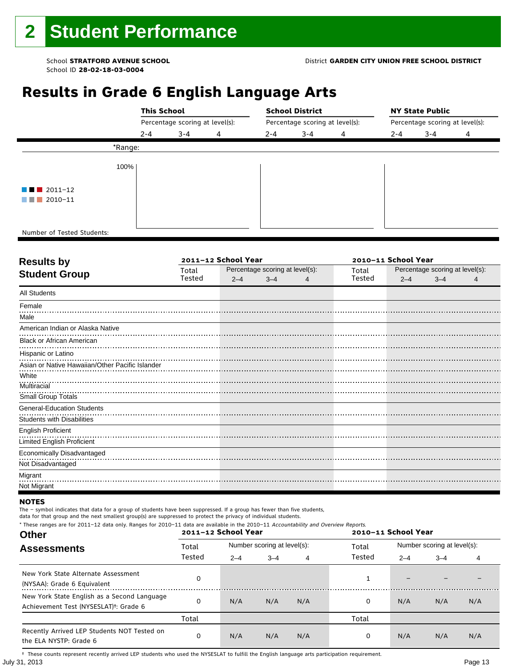#### School **STRATFORD AVENUE SCHOOL** District **GARDEN CITY UNION FREE SCHOOL DISTRICT**

# **Results in Grade 6 English Language Arts**

|                            |         | <b>This School</b><br>Percentage scoring at level(s): |   |         | <b>School District</b>          |   | <b>NY State Public</b><br>Percentage scoring at level(s): |         |   |  |
|----------------------------|---------|-------------------------------------------------------|---|---------|---------------------------------|---|-----------------------------------------------------------|---------|---|--|
|                            |         |                                                       |   |         | Percentage scoring at level(s): |   |                                                           |         |   |  |
|                            | $2 - 4$ | $3 - 4$                                               | 4 | $2 - 4$ | $3 - 4$                         | 4 | $2 - 4$                                                   | $3 - 4$ | 4 |  |
|                            | *Range: |                                                       |   |         |                                 |   |                                                           |         |   |  |
|                            | 100%    |                                                       |   |         |                                 |   |                                                           |         |   |  |
| $\blacksquare$ 2011-12     |         |                                                       |   |         |                                 |   |                                                           |         |   |  |
| 2010-11<br>a shekara       |         |                                                       |   |         |                                 |   |                                                           |         |   |  |
|                            |         |                                                       |   |         |                                 |   |                                                           |         |   |  |
| Number of Tested Students: |         |                                                       |   |         |                                 |   |                                                           |         |   |  |

٦

| Total  |         |         |                     | Total                           |         |         |                                                        |  |
|--------|---------|---------|---------------------|---------------------------------|---------|---------|--------------------------------------------------------|--|
| Tested | $2 - 4$ | $3 - 4$ | 4                   | Tested                          | $2 - 4$ | $3 - 4$ |                                                        |  |
|        |         |         |                     |                                 |         |         |                                                        |  |
|        |         |         |                     |                                 |         |         |                                                        |  |
|        |         |         |                     |                                 |         |         |                                                        |  |
|        |         |         |                     |                                 |         |         |                                                        |  |
|        |         |         |                     |                                 |         |         |                                                        |  |
|        |         |         |                     |                                 |         |         |                                                        |  |
|        |         |         |                     |                                 |         |         |                                                        |  |
|        |         |         |                     |                                 |         |         |                                                        |  |
|        |         |         |                     |                                 |         |         |                                                        |  |
|        |         |         |                     |                                 |         |         |                                                        |  |
|        |         |         |                     |                                 |         |         |                                                        |  |
|        |         |         |                     |                                 |         |         |                                                        |  |
|        |         |         |                     |                                 |         |         |                                                        |  |
|        |         |         |                     |                                 |         |         |                                                        |  |
|        |         |         |                     |                                 |         |         |                                                        |  |
|        |         |         |                     |                                 |         |         |                                                        |  |
|        |         |         |                     |                                 |         |         |                                                        |  |
|        |         |         |                     |                                 |         |         |                                                        |  |
|        |         |         | 2011-12 School Year | Percentage scoring at level(s): |         |         | 2010-11 School Year<br>Percentage scoring at level(s): |  |

#### **NOTES**

The – symbol indicates that data for a group of students have been suppressed. If a group has fewer than five students,

data for that group and the next smallest group(s) are suppressed to protect the privacy of individual students. \* These ranges are for 2011–12 data only. Ranges for 2010–11 data are available in the 2010–11 Accountability and Overview Reports.

| THESE TRINGES ATE TOT ZUIT-IZ GATA UNIV. RANGES TOT ZUIU-II GATA ATE AVAILADLE IN THE ZUIU-II ACCOUNTABILITY AND OVERVIEW REPORTS.<br><b>Other</b> |        | 2011-12 School Year |                             |     |        | 2010-11 School Year |                             |     |  |  |
|----------------------------------------------------------------------------------------------------------------------------------------------------|--------|---------------------|-----------------------------|-----|--------|---------------------|-----------------------------|-----|--|--|
| <b>Assessments</b>                                                                                                                                 | Total  |                     | Number scoring at level(s): |     | Total  |                     | Number scoring at level(s): |     |  |  |
|                                                                                                                                                    | Tested | $2 - 4$             | $3 - 4$                     |     | Tested | $2 - 4$             | $3 - 4$                     | 4   |  |  |
| New York State Alternate Assessment<br>(NYSAA): Grade 6 Equivalent                                                                                 |        |                     |                             |     | 1      |                     |                             |     |  |  |
| New York State English as a Second Language<br>Achievement Test (NYSESLAT) <sup>†</sup> : Grade 6                                                  |        | N/A                 | N/A                         | N/A | 0      | N/A                 | N/A                         | N/A |  |  |
|                                                                                                                                                    | Total  |                     |                             |     | Total  |                     |                             |     |  |  |
| Recently Arrived LEP Students NOT Tested on<br>the ELA NYSTP: Grade 6                                                                              | 0      | N/A                 | N/A                         | N/A | 0      | N/A                 | N/A                         | N/A |  |  |

July 31, 2013 Page 13 † These counts represent recently arrived LEP students who used the NYSESLAT to fulfill the English language arts participation requirement.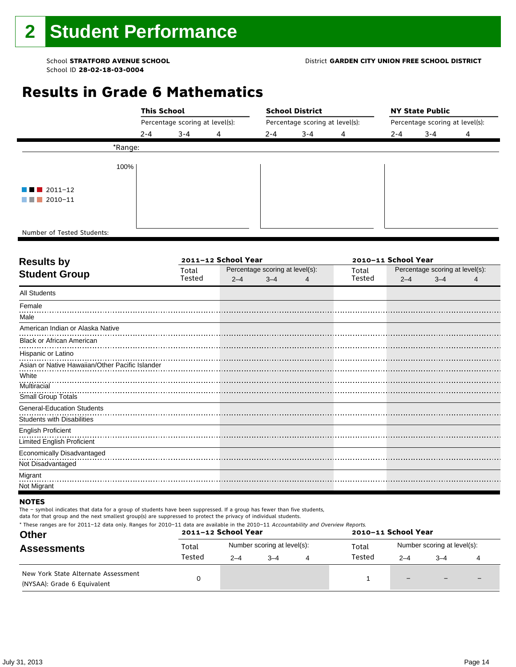### School **STRATFORD AVENUE SCHOOL** District **GARDEN CITY UNION FREE SCHOOL DISTRICT**

# **Results in Grade 6 Mathematics**

|                            |                                 | <b>This School</b> |   |         | <b>School District</b>          |   | <b>NY State Public</b>          |         |   |  |  |
|----------------------------|---------------------------------|--------------------|---|---------|---------------------------------|---|---------------------------------|---------|---|--|--|
|                            | Percentage scoring at level(s): |                    |   |         | Percentage scoring at level(s): |   | Percentage scoring at level(s): |         |   |  |  |
|                            | $2 - 4$                         | $3 - 4$            | 4 | $2 - 4$ | $3 - 4$                         | 4 | $2 - 4$                         | $3 - 4$ | 4 |  |  |
| *Range:                    |                                 |                    |   |         |                                 |   |                                 |         |   |  |  |
| 100%                       |                                 |                    |   |         |                                 |   |                                 |         |   |  |  |
| $\blacksquare$ 2011-12     |                                 |                    |   |         |                                 |   |                                 |         |   |  |  |
| $\blacksquare$ 2010-11     |                                 |                    |   |         |                                 |   |                                 |         |   |  |  |
|                            |                                 |                    |   |         |                                 |   |                                 |         |   |  |  |
| Number of Tested Students: |                                 |                    |   |         |                                 |   |                                 |         |   |  |  |

٦

|        |         |         | 2010-11 School Year |                                 |         |         |                                 |  |
|--------|---------|---------|---------------------|---------------------------------|---------|---------|---------------------------------|--|
| Total  |         |         |                     | Total                           |         |         |                                 |  |
| Tested | $2 - 4$ | $3 - 4$ | 4                   | Tested                          | $2 - 4$ | $3 - 4$ |                                 |  |
|        |         |         |                     |                                 |         |         |                                 |  |
|        |         |         |                     |                                 |         |         |                                 |  |
|        |         |         |                     |                                 |         |         |                                 |  |
|        |         |         |                     |                                 |         |         |                                 |  |
|        |         |         |                     |                                 |         |         |                                 |  |
|        |         |         |                     |                                 |         |         |                                 |  |
|        |         |         |                     |                                 |         |         |                                 |  |
|        |         |         |                     |                                 |         |         |                                 |  |
|        |         |         |                     |                                 |         |         |                                 |  |
|        |         |         |                     |                                 |         |         |                                 |  |
|        |         |         |                     |                                 |         |         |                                 |  |
|        |         |         |                     |                                 |         |         |                                 |  |
|        |         |         |                     |                                 |         |         |                                 |  |
|        |         |         |                     |                                 |         |         |                                 |  |
|        |         |         |                     |                                 |         |         |                                 |  |
|        |         |         |                     |                                 |         |         |                                 |  |
|        |         |         |                     |                                 |         |         |                                 |  |
|        |         |         |                     |                                 |         |         |                                 |  |
|        |         |         | 2011-12 School Year | Percentage scoring at level(s): |         |         | Percentage scoring at level(s): |  |

### **NOTES**

The – symbol indicates that data for a group of students have been suppressed. If a group has fewer than five students,

| * These ranges are for 2011–12 data only. Ranges for 2010–11 data are available in the 2010–11 Accountability and Overview Reports.<br><b>Other</b> |        | 2011-12 School Year |                             | 2010-11 School Year |                             |         |  |  |  |
|-----------------------------------------------------------------------------------------------------------------------------------------------------|--------|---------------------|-----------------------------|---------------------|-----------------------------|---------|--|--|--|
| <b>Assessments</b>                                                                                                                                  | Total  |                     | Number scoring at level(s): | Total               | Number scoring at level(s): |         |  |  |  |
|                                                                                                                                                     | Tested | $2 - 4$             | $-4$                        | Tested              | $2 - 4$                     | $3 - 4$ |  |  |  |
| New York State Alternate Assessment<br>(NYSAA): Grade 6 Equivalent                                                                                  |        |                     |                             |                     | -                           |         |  |  |  |